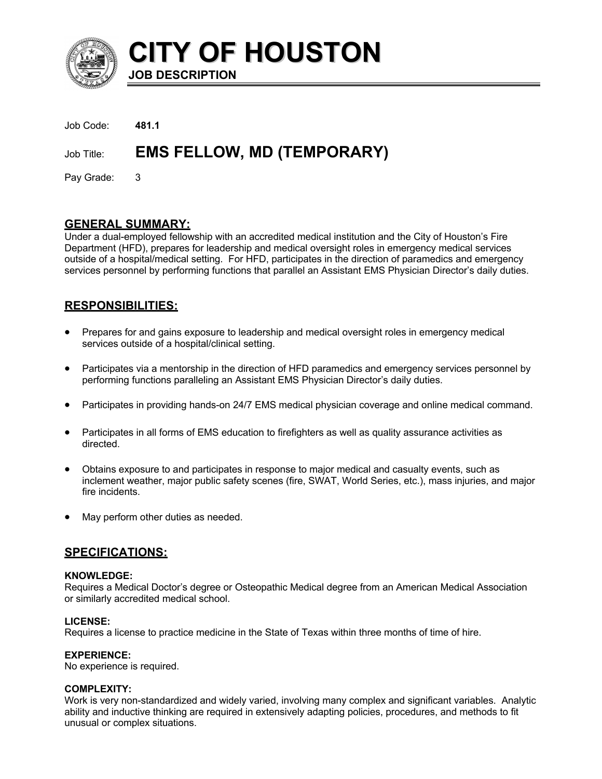

**CITY OF HOUSTON JOB DESCRIPTION**

| Job Code:    | - 481.1                               |
|--------------|---------------------------------------|
|              | Job Title: EMS FELLOW, MD (TEMPORARY) |
| Pay Grade: 3 |                                       |

# **GENERAL SUMMARY:**

Under a dual-employed fellowship with an accredited medical institution and the City of Houston's Fire Department (HFD), prepares for leadership and medical oversight roles in emergency medical services outside of a hospital/medical setting. For HFD, participates in the direction of paramedics and emergency services personnel by performing functions that parallel an Assistant EMS Physician Director's daily duties.

# **RESPONSIBILITIES:**

- Prepares for and gains exposure to leadership and medical oversight roles in emergency medical services outside of a hospital/clinical setting.
- Participates via a mentorship in the direction of HFD paramedics and emergency services personnel by performing functions paralleling an Assistant EMS Physician Director's daily duties.
- Participates in providing hands-on 24/7 EMS medical physician coverage and online medical command.
- Participates in all forms of EMS education to firefighters as well as quality assurance activities as directed.
- Obtains exposure to and participates in response to major medical and casualty events, such as inclement weather, major public safety scenes (fire, SWAT, World Series, etc.), mass injuries, and major fire incidents.
- May perform other duties as needed.

# **SPECIFICATIONS:**

## **KNOWLEDGE:**

Requires a Medical Doctor's degree or Osteopathic Medical degree from an American Medical Association or similarly accredited medical school.

## **LICENSE:**

Requires a license to practice medicine in the State of Texas within three months of time of hire.

## **EXPERIENCE:**

No experience is required.

## **COMPLEXITY:**

Work is very non-standardized and widely varied, involving many complex and significant variables. Analytic ability and inductive thinking are required in extensively adapting policies, procedures, and methods to fit unusual or complex situations.